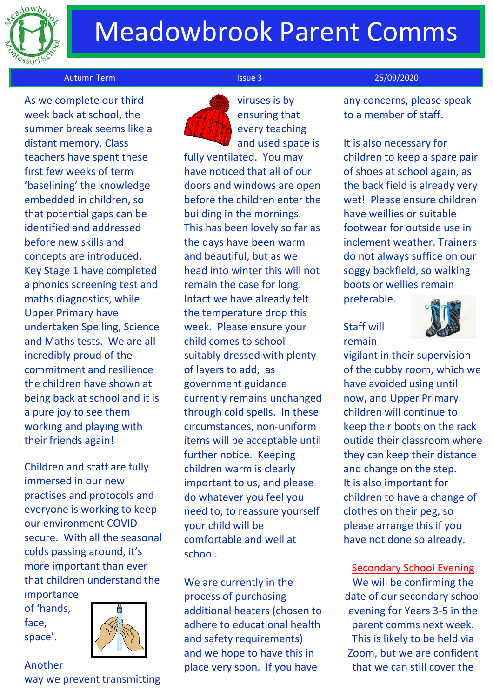

# Meadowbrook Parent Comms

### Autumn Term Issue 3 25/09/2020

 As we complete our third week back at school, the summer break seems like a distant memory. Class teachers have spent these first few weeks of term 'baselining' the knowledge embedded in children, so that potential gaps can be identified and addressed before new skills and concepts are introduced. Key Stage 1 have completed a phonics screening test and maths diagnostics, while Upper Primary have undertaken Spelling, Science and Maths tests. We are all incredibly proud of the commitment and resilience the children have shown at being back at school and it is a pure joy to see them working and playing with their friends again!

Children and staff are fully immersed in our new practises and protocols and everyone is working to keep our environment COVIDsecure. With all the seasonal colds passing around, it's more important than ever that children understand the

importance of 'hands, face, space'.



## Another

way we prevent transmitting



viruses is by ensuring that every teaching and used space is

fully ventilated. You may have noticed that all of our doors and windows are open before the children enter the building in the mornings. This has been lovely so far as the days have been warm and beautiful, but as we head into winter this will not remain the case for long. Infact we have already felt the temperature drop this week. Please ensure your child comes to school suitably dressed with plenty of layers to add, as government guidance currently remains unchanged through cold spells. In these circumstances, non-uniform items will be acceptable until further notice. Keeping children warm is clearly important to us, and please do whatever you feel you need to, to reassure yourself your child will be comfortable and well at school.

We are currently in the process of purchasing additional heaters (chosen to adhere to educational health and safety requirements) and we hope to have this in place very soon. If you have

any concerns, please speak to a member of staff.

# It is also necessary for children to keep a spare pair of shoes at school again, as the back field is already very wet! Please ensure children have weillies or suitable footwear for outside use in inclement weather. Trainers do not always suffice on our soggy backfield, so walking boots or wellies remain

preferable.

# Staff will remain



vigilant in their supervision of the cubby room, which we have avoided using until now, and Upper Primary children will continue to keep their boots on the rack outide their classroom where they can keep their distance and change on the step. It is also important for children to have a change of clothes on their peg, so please arrange this if you have not done so already.

Secondary School Evening We will be confirming the date of our secondary school evening for Years 3-5 in the parent comms next week. This is likely to be held via Zoom, but we are confident that we can still cover the